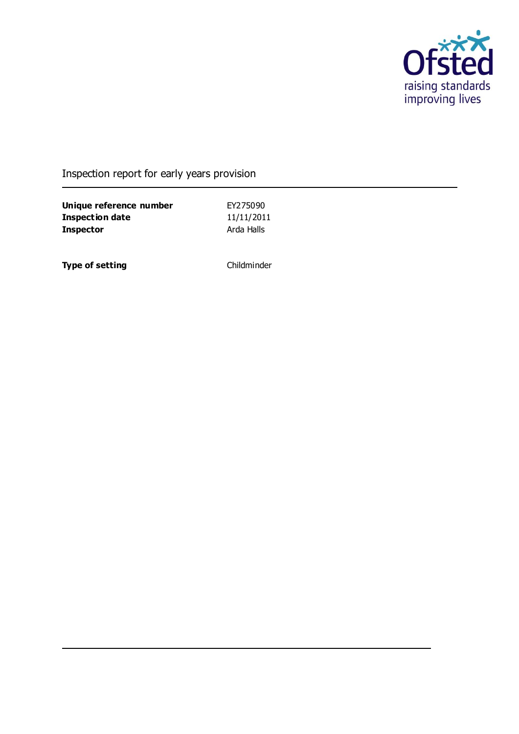

### Inspection report for early years provision

**Unique reference number** EY275090 **Inspection date** 11/11/2011 **Inspector** Arda Halls

**Type of setting** Childminder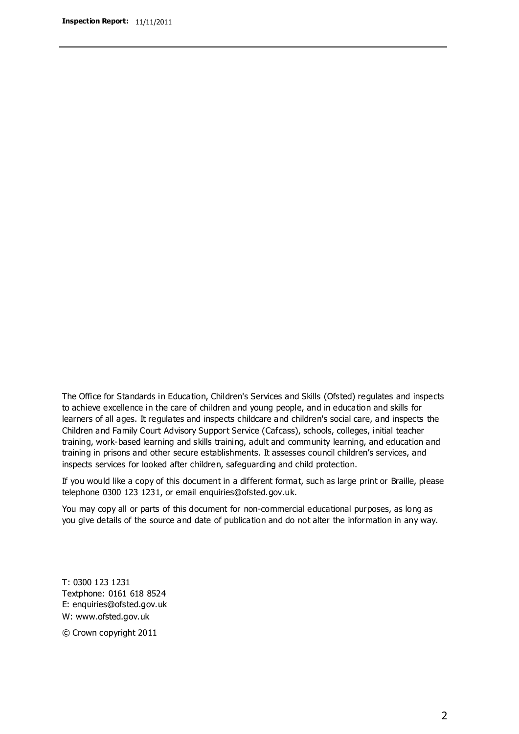The Office for Standards in Education, Children's Services and Skills (Ofsted) regulates and inspects to achieve excellence in the care of children and young people, and in education and skills for learners of all ages. It regulates and inspects childcare and children's social care, and inspects the Children and Family Court Advisory Support Service (Cafcass), schools, colleges, initial teacher training, work-based learning and skills training, adult and community learning, and education and training in prisons and other secure establishments. It assesses council children's services, and inspects services for looked after children, safeguarding and child protection.

If you would like a copy of this document in a different format, such as large print or Braille, please telephone 0300 123 1231, or email enquiries@ofsted.gov.uk.

You may copy all or parts of this document for non-commercial educational purposes, as long as you give details of the source and date of publication and do not alter the information in any way.

T: 0300 123 1231 Textphone: 0161 618 8524 E: enquiries@ofsted.gov.uk W: [www.ofsted.gov.uk](http://www.ofsted.gov.uk/)

© Crown copyright 2011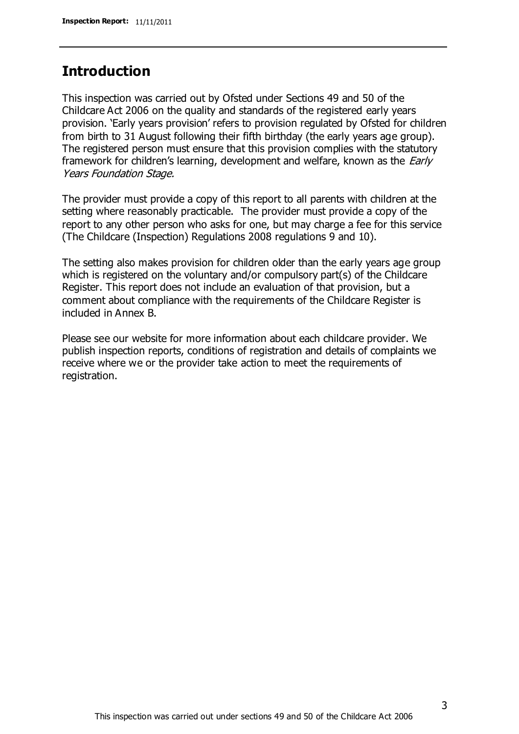### **Introduction**

This inspection was carried out by Ofsted under Sections 49 and 50 of the Childcare Act 2006 on the quality and standards of the registered early years provision. 'Early years provision' refers to provision regulated by Ofsted for children from birth to 31 August following their fifth birthday (the early years age group). The registered person must ensure that this provision complies with the statutory framework for children's learning, development and welfare, known as the *Early* Years Foundation Stage.

The provider must provide a copy of this report to all parents with children at the setting where reasonably practicable. The provider must provide a copy of the report to any other person who asks for one, but may charge a fee for this service (The Childcare (Inspection) Regulations 2008 regulations 9 and 10).

The setting also makes provision for children older than the early years age group which is registered on the voluntary and/or compulsory part(s) of the Childcare Register. This report does not include an evaluation of that provision, but a comment about compliance with the requirements of the Childcare Register is included in Annex B.

Please see our website for more information about each childcare provider. We publish inspection reports, conditions of registration and details of complaints we receive where we or the provider take action to meet the requirements of registration.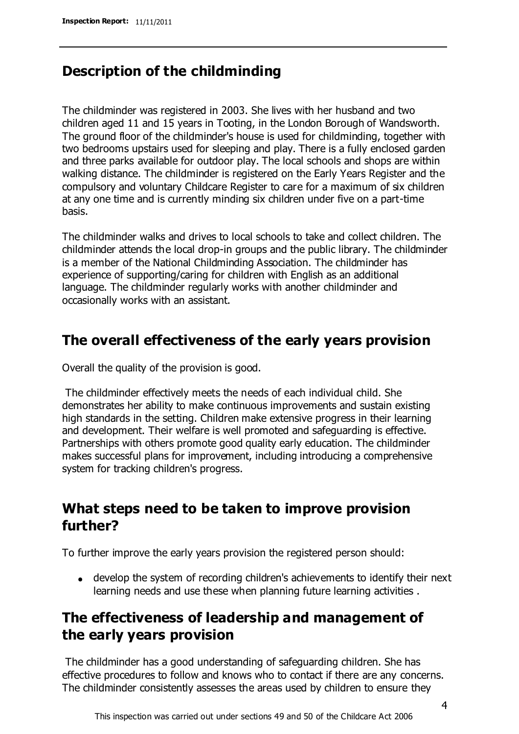### **Description of the childminding**

The childminder was registered in 2003. She lives with her husband and two children aged 11 and 15 years in Tooting, in the London Borough of Wandsworth. The ground floor of the childminder's house is used for childminding, together with two bedrooms upstairs used for sleeping and play. There is a fully enclosed garden and three parks available for outdoor play. The local schools and shops are within walking distance. The childminder is registered on the Early Years Register and the compulsory and voluntary Childcare Register to care for a maximum of six children at any one time and is currently minding six children under five on a part-time basis.

The childminder walks and drives to local schools to take and collect children. The childminder attends the local drop-in groups and the public library. The childminder is a member of the National Childminding Association. The childminder has experience of supporting/caring for children with English as an additional language. The childminder regularly works with another childminder and occasionally works with an assistant.

### **The overall effectiveness of the early years provision**

Overall the quality of the provision is good.

The childminder effectively meets the needs of each individual child. She demonstrates her ability to make continuous improvements and sustain existing high standards in the setting. Children make extensive progress in their learning and development. Their welfare is well promoted and safeguarding is effective. Partnerships with others promote good quality early education. The childminder makes successful plans for improvement, including introducing a comprehensive system for tracking children's progress.

## **What steps need to be taken to improve provision further?**

To further improve the early years provision the registered person should:

develop the system of recording children's achievements to identify their next learning needs and use these when planning future learning activities .

# **The effectiveness of leadership and management of the early years provision**

The childminder has a good understanding of safeguarding children. She has effective procedures to follow and knows who to contact if there are any concerns. The childminder consistently assesses the areas used by children to ensure they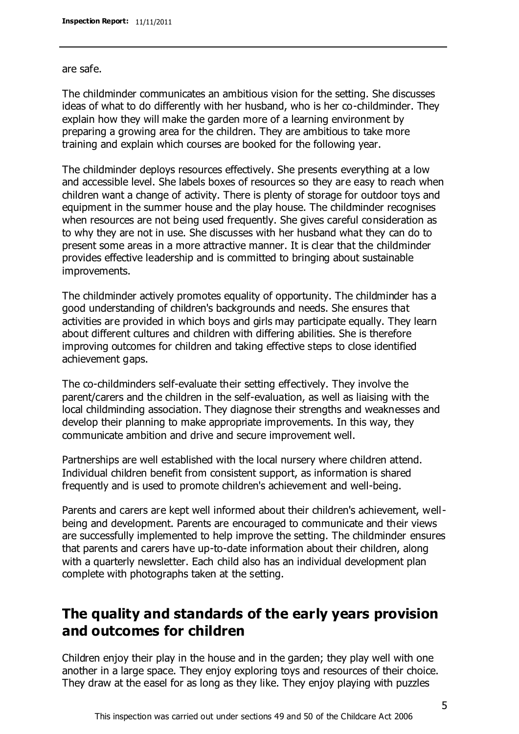are safe.

The childminder communicates an ambitious vision for the setting. She discusses ideas of what to do differently with her husband, who is her co-childminder. They explain how they will make the garden more of a learning environment by preparing a growing area for the children. They are ambitious to take more training and explain which courses are booked for the following year.

The childminder deploys resources effectively. She presents everything at a low and accessible level. She labels boxes of resources so they are easy to reach when children want a change of activity. There is plenty of storage for outdoor toys and equipment in the summer house and the play house. The childminder recognises when resources are not being used frequently. She gives careful consideration as to why they are not in use. She discusses with her husband what they can do to present some areas in a more attractive manner. It is clear that the childminder provides effective leadership and is committed to bringing about sustainable improvements.

The childminder actively promotes equality of opportunity. The childminder has a good understanding of children's backgrounds and needs. She ensures that activities are provided in which boys and girls may participate equally. They learn about different cultures and children with differing abilities. She is therefore improving outcomes for children and taking effective steps to close identified achievement gaps.

The co-childminders self-evaluate their setting effectively. They involve the parent/carers and the children in the self-evaluation, as well as liaising with the local childminding association. They diagnose their strengths and weaknesses and develop their planning to make appropriate improvements. In this way, they communicate ambition and drive and secure improvement well.

Partnerships are well established with the local nursery where children attend. Individual children benefit from consistent support, as information is shared frequently and is used to promote children's achievement and well-being.

Parents and carers are kept well informed about their children's achievement, wellbeing and development. Parents are encouraged to communicate and their views are successfully implemented to help improve the setting. The childminder ensures that parents and carers have up-to-date information about their children, along with a quarterly newsletter. Each child also has an individual development plan complete with photographs taken at the setting.

# **The quality and standards of the early years provision and outcomes for children**

Children enjoy their play in the house and in the garden; they play well with one another in a large space. They enjoy exploring toys and resources of their choice. They draw at the easel for as long as they like. They enjoy playing with puzzles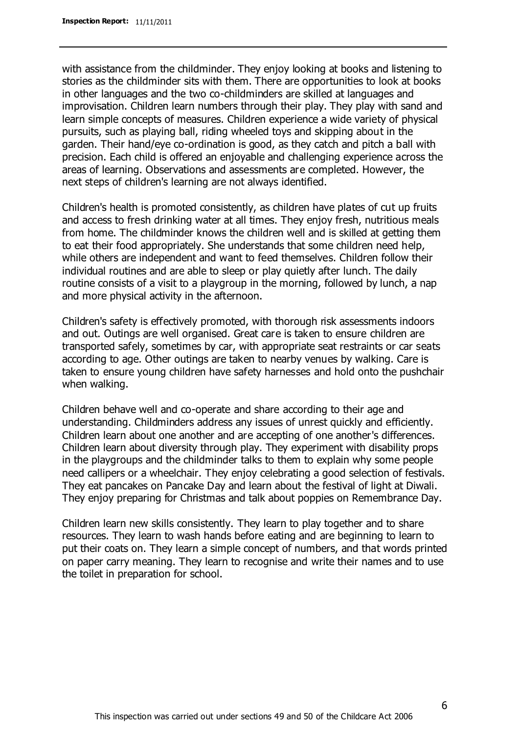with assistance from the childminder. They enjoy looking at books and listening to stories as the childminder sits with them. There are opportunities to look at books in other languages and the two co-childminders are skilled at languages and improvisation. Children learn numbers through their play. They play with sand and learn simple concepts of measures. Children experience a wide variety of physical pursuits, such as playing ball, riding wheeled toys and skipping about in the garden. Their hand/eye co-ordination is good, as they catch and pitch a ball with precision. Each child is offered an enjoyable and challenging experience across the areas of learning. Observations and assessments are completed. However, the next steps of children's learning are not always identified.

Children's health is promoted consistently, as children have plates of cut up fruits and access to fresh drinking water at all times. They enjoy fresh, nutritious meals from home. The childminder knows the children well and is skilled at getting them to eat their food appropriately. She understands that some children need help, while others are independent and want to feed themselves. Children follow their individual routines and are able to sleep or play quietly after lunch. The daily routine consists of a visit to a playgroup in the morning, followed by lunch, a nap and more physical activity in the afternoon.

Children's safety is effectively promoted, with thorough risk assessments indoors and out. Outings are well organised. Great care is taken to ensure children are transported safely, sometimes by car, with appropriate seat restraints or car seats according to age. Other outings are taken to nearby venues by walking. Care is taken to ensure young children have safety harnesses and hold onto the pushchair when walking.

Children behave well and co-operate and share according to their age and understanding. Childminders address any issues of unrest quickly and efficiently. Children learn about one another and are accepting of one another's differences. Children learn about diversity through play. They experiment with disability props in the playgroups and the childminder talks to them to explain why some people need callipers or a wheelchair. They enjoy celebrating a good selection of festivals. They eat pancakes on Pancake Day and learn about the festival of light at Diwali. They enjoy preparing for Christmas and talk about poppies on Remembrance Day.

Children learn new skills consistently. They learn to play together and to share resources. They learn to wash hands before eating and are beginning to learn to put their coats on. They learn a simple concept of numbers, and that words printed on paper carry meaning. They learn to recognise and write their names and to use the toilet in preparation for school.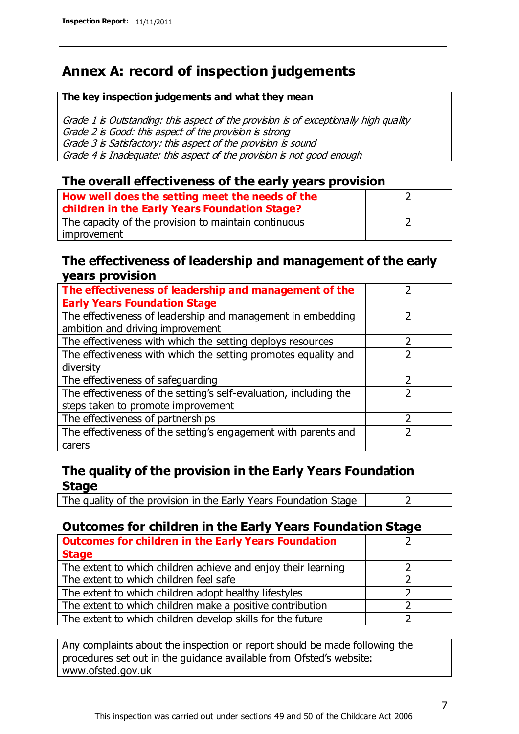# **Annex A: record of inspection judgements**

#### **The key inspection judgements and what they mean**

Grade 1 is Outstanding: this aspect of the provision is of exceptionally high quality Grade 2 is Good: this aspect of the provision is strong Grade 3 is Satisfactory: this aspect of the provision is sound Grade 4 is Inadequate: this aspect of the provision is not good enough

#### **The overall effectiveness of the early years provision**

| How well does the setting meet the needs of the<br>children in the Early Years Foundation Stage? |  |
|--------------------------------------------------------------------------------------------------|--|
| The capacity of the provision to maintain continuous                                             |  |
| improvement                                                                                      |  |

#### **The effectiveness of leadership and management of the early years provision**

| The effectiveness of leadership and management of the             |  |
|-------------------------------------------------------------------|--|
| <b>Early Years Foundation Stage</b>                               |  |
| The effectiveness of leadership and management in embedding       |  |
| ambition and driving improvement                                  |  |
| The effectiveness with which the setting deploys resources        |  |
| The effectiveness with which the setting promotes equality and    |  |
| diversity                                                         |  |
| The effectiveness of safeguarding                                 |  |
| The effectiveness of the setting's self-evaluation, including the |  |
| steps taken to promote improvement                                |  |
| The effectiveness of partnerships                                 |  |
| The effectiveness of the setting's engagement with parents and    |  |
| carers                                                            |  |

#### **The quality of the provision in the Early Years Foundation Stage**

The quality of the provision in the Early Years Foundation Stage  $\vert$  2

#### **Outcomes for children in the Early Years Foundation Stage**

| <b>Outcomes for children in the Early Years Foundation</b>    |  |
|---------------------------------------------------------------|--|
| <b>Stage</b>                                                  |  |
| The extent to which children achieve and enjoy their learning |  |
| The extent to which children feel safe                        |  |
| The extent to which children adopt healthy lifestyles         |  |
| The extent to which children make a positive contribution     |  |
| The extent to which children develop skills for the future    |  |

Any complaints about the inspection or report should be made following the procedures set out in the guidance available from Ofsted's website: www.ofsted.gov.uk